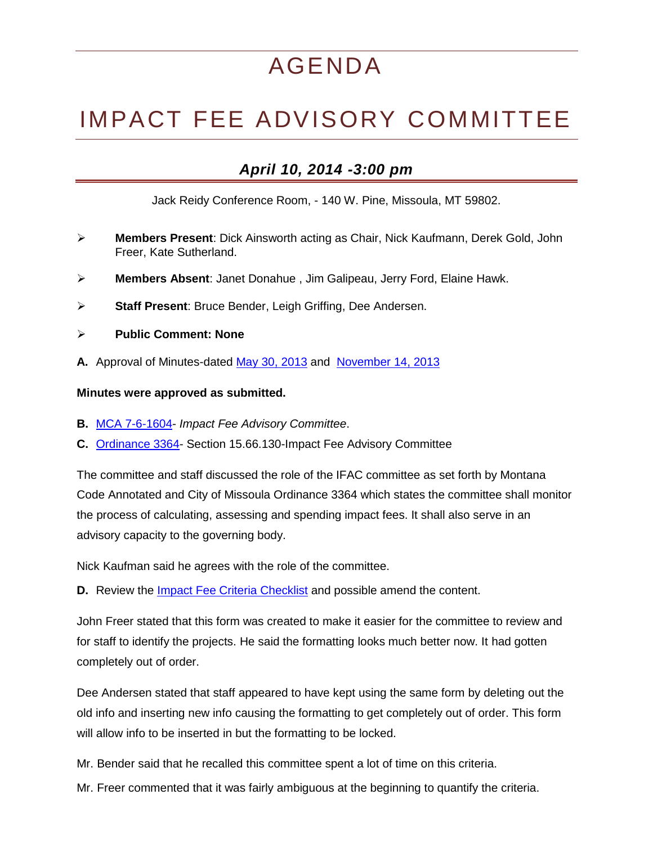## AGENDA

## IMPACT FEE ADVISORY COMMITTEE

## *April 10, 2014 -3:00 pm*

Jack Reidy Conference Room, - 140 W. Pine, Missoula, MT 59802.

- **Members Present**: Dick Ainsworth acting as Chair, Nick Kaufmann, Derek Gold, John Freer, Kate Sutherland.
- **Members Absent**: Janet Donahue , Jim Galipeau, Jerry Ford, Elaine Hawk.
- **Staff Present**: Bruce Bender, Leigh Griffing, Dee Andersen.
- **Public Comment: None**
- **A.** Approval of Minutes-dated [May 30, 2013](http://www.ci.missoula.mt.us/DocumentCenter/View/25434) and [November 14, 2013](http://mt-missoula3.civicplus.com/DocumentCenter/View/25415)

## **Minutes were approved as submitted.**

- **B.** [MCA 7-6-1604-](http://leg.mt.gov/bills/mca/7/6/7-6-1604.htm) *Impact Fee Advisory Committee*.
- **C.** [Ordinance 3364-](ftp://ftp.ci.missoula.mt.us/Documents/Ordinance/3364.pdf) Section 15.66.130-Impact Fee Advisory Committee

The committee and staff discussed the role of the IFAC committee as set forth by Montana Code Annotated and City of Missoula Ordinance 3364 which states the committee shall monitor the process of calculating, assessing and spending impact fees. It shall also serve in an advisory capacity to the governing body.

Nick Kaufman said he agrees with the role of the committee.

**D.** Review the [Impact Fee Criteria Checklist](http://www.ci.missoula.mt.us/DocumentCenter/View/25416) and possible amend the content.

John Freer stated that this form was created to make it easier for the committee to review and for staff to identify the projects. He said the formatting looks much better now. It had gotten completely out of order.

Dee Andersen stated that staff appeared to have kept using the same form by deleting out the old info and inserting new info causing the formatting to get completely out of order. This form will allow info to be inserted in but the formatting to be locked.

Mr. Bender said that he recalled this committee spent a lot of time on this criteria.

Mr. Freer commented that it was fairly ambiguous at the beginning to quantify the criteria.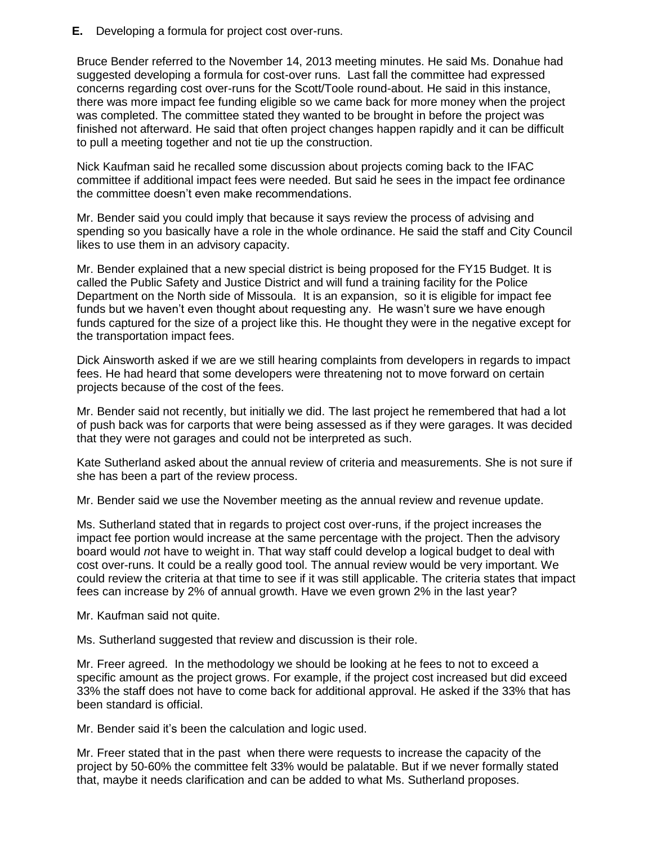**E.** Developing a formula for project cost over-runs.

Bruce Bender referred to the November 14, 2013 meeting minutes. He said Ms. Donahue had suggested developing a formula for cost-over runs. Last fall the committee had expressed concerns regarding cost over-runs for the Scott/Toole round-about. He said in this instance, there was more impact fee funding eligible so we came back for more money when the project was completed. The committee stated they wanted to be brought in before the project was finished not afterward. He said that often project changes happen rapidly and it can be difficult to pull a meeting together and not tie up the construction.

Nick Kaufman said he recalled some discussion about projects coming back to the IFAC committee if additional impact fees were needed. But said he sees in the impact fee ordinance the committee doesn't even make recommendations.

Mr. Bender said you could imply that because it says review the process of advising and spending so you basically have a role in the whole ordinance. He said the staff and City Council likes to use them in an advisory capacity.

Mr. Bender explained that a new special district is being proposed for the FY15 Budget. It is called the Public Safety and Justice District and will fund a training facility for the Police Department on the North side of Missoula. It is an expansion, so it is eligible for impact fee funds but we haven't even thought about requesting any. He wasn't sure we have enough funds captured for the size of a project like this. He thought they were in the negative except for the transportation impact fees.

Dick Ainsworth asked if we are we still hearing complaints from developers in regards to impact fees. He had heard that some developers were threatening not to move forward on certain projects because of the cost of the fees.

Mr. Bender said not recently, but initially we did. The last project he remembered that had a lot of push back was for carports that were being assessed as if they were garages. It was decided that they were not garages and could not be interpreted as such.

Kate Sutherland asked about the annual review of criteria and measurements. She is not sure if she has been a part of the review process.

Mr. Bender said we use the November meeting as the annual review and revenue update.

Ms. Sutherland stated that in regards to project cost over-runs, if the project increases the impact fee portion would increase at the same percentage with the project. Then the advisory board would *no*t have to weight in. That way staff could develop a logical budget to deal with cost over-runs. It could be a really good tool. The annual review would be very important. We could review the criteria at that time to see if it was still applicable. The criteria states that impact fees can increase by 2% of annual growth. Have we even grown 2% in the last year?

Mr. Kaufman said not quite.

Ms. Sutherland suggested that review and discussion is their role.

Mr. Freer agreed. In the methodology we should be looking at he fees to not to exceed a specific amount as the project grows. For example, if the project cost increased but did exceed 33% the staff does not have to come back for additional approval. He asked if the 33% that has been standard is official.

Mr. Bender said it's been the calculation and logic used.

Mr. Freer stated that in the past when there were requests to increase the capacity of the project by 50-60% the committee felt 33% would be palatable. But if we never formally stated that, maybe it needs clarification and can be added to what Ms. Sutherland proposes.